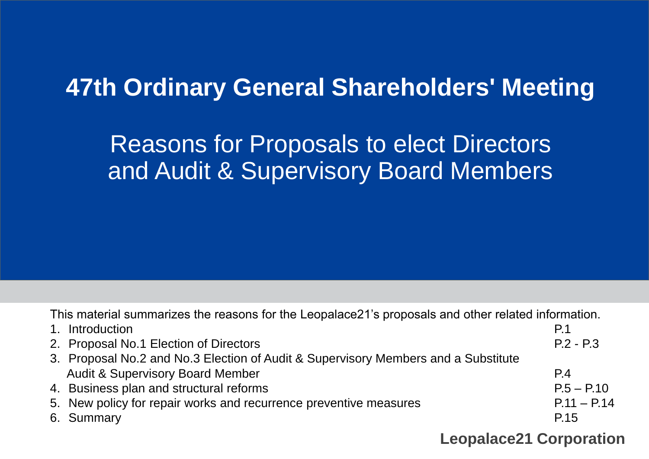# **47th Ordinary General Shareholders' Meeting**

# Reasons for Proposals to elect Directors and Audit & Supervisory Board Members

This material summarizes the reasons for the Leopalace21's proposals and other related information.

| 1. Introduction                                                                    | P <sub>1</sub>                 |
|------------------------------------------------------------------------------------|--------------------------------|
| 2. Proposal No.1 Election of Directors                                             | $P.2 - P.3$                    |
| 3. Proposal No.2 and No.3 Election of Audit & Supervisory Members and a Substitute |                                |
| <b>Audit &amp; Supervisory Board Member</b>                                        | P.4                            |
| 4. Business plan and structural reforms                                            | $P.5 - P.10$                   |
| 5. New policy for repair works and recurrence preventive measures                  | $P.11 - P.14$                  |
| 6. Summary                                                                         | P.15                           |
|                                                                                    | <b>Leopalace21 Corporation</b> |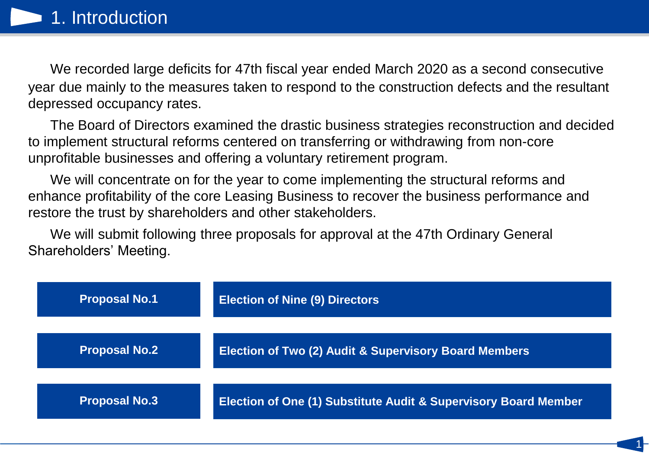We recorded large deficits for 47th fiscal year ended March 2020 as a second consecutive year due mainly to the measures taken to respond to the construction defects and the resultant depressed occupancy rates.

The Board of Directors examined the drastic business strategies reconstruction and decided to implement structural reforms centered on transferring or withdrawing from non-core unprofitable businesses and offering a voluntary retirement program.

We will concentrate on for the year to come implementing the structural reforms and enhance profitability of the core Leasing Business to recover the business performance and restore the trust by shareholders and other stakeholders.

We will submit following three proposals for approval at the 47th Ordinary General Shareholders' Meeting.

| <b>Proposal No.1</b> | <b>Election of Nine (9) Directors</b>                           |
|----------------------|-----------------------------------------------------------------|
| <b>Proposal No.2</b> | Election of Two (2) Audit & Supervisory Board Members           |
| <b>Proposal No.3</b> | Election of One (1) Substitute Audit & Supervisory Board Member |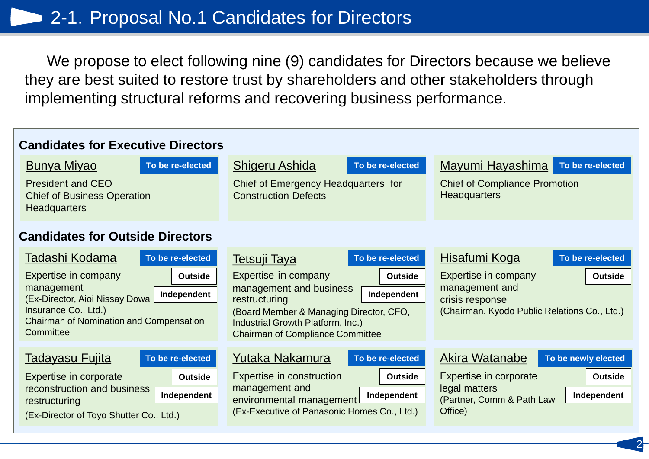We propose to elect following nine (9) candidates for Directors because we believe they are best suited to restore trust by shareholders and other stakeholders through implementing structural reforms and recovering business performance.

| <b>Candidates for Executive Directors</b>                                                                                                                                                        |                                                                                                                                                                                                                              |                                                                                                                                                           |
|--------------------------------------------------------------------------------------------------------------------------------------------------------------------------------------------------|------------------------------------------------------------------------------------------------------------------------------------------------------------------------------------------------------------------------------|-----------------------------------------------------------------------------------------------------------------------------------------------------------|
| <u>Bunya Miyao</u><br>To be re-elected                                                                                                                                                           | Shigeru Ashida<br>To be re-elected                                                                                                                                                                                           | Mayumi Hayashima<br>To be re-elected                                                                                                                      |
| <b>President and CEO</b><br><b>Chief of Business Operation</b><br><b>Headquarters</b>                                                                                                            | Chief of Emergency Headquarters for<br><b>Construction Defects</b>                                                                                                                                                           | <b>Chief of Compliance Promotion</b><br><b>Headquarters</b>                                                                                               |
| <b>Candidates for Outside Directors</b>                                                                                                                                                          |                                                                                                                                                                                                                              |                                                                                                                                                           |
| Tadashi Kodama<br>To be re-elected                                                                                                                                                               | To be re-elected<br><b>Tetsuji Taya</b>                                                                                                                                                                                      | Hisafumi Koga<br>To be re-elected                                                                                                                         |
| Expertise in company<br><b>Outside</b><br>management<br>Independent<br>(Ex-Director, Aioi Nissay Dowa<br>Insurance Co., Ltd.)<br><b>Chairman of Nomination and Compensation</b><br>Committee     | Expertise in company<br><b>Outside</b><br>management and business<br>Independent<br>restructuring<br>(Board Member & Managing Director, CFO,<br>Industrial Growth Platform, Inc.)<br><b>Chairman of Compliance Committee</b> | Expertise in company<br><b>Outside</b><br>management and<br>crisis response<br>(Chairman, Kyodo Public Relations Co., Ltd.)                               |
| <u>Tadayasu Fujita</u><br>To be re-elected<br>Expertise in corporate<br><b>Outside</b><br>reconstruction and business<br>Independent<br>restructuring<br>(Ex-Director of Toyo Shutter Co., Ltd.) | Yutaka Nakamura<br>To be re-elected<br><b>Expertise in construction</b><br><b>Outside</b><br>management and<br>Independent<br>environmental management<br>(Ex-Executive of Panasonic Homes Co., Ltd.)                        | Akira Watanabe<br>To be newly elected<br>Expertise in corporate<br><b>Outside</b><br>legal matters<br>Independent<br>(Partner, Comm & Path Law<br>Office) |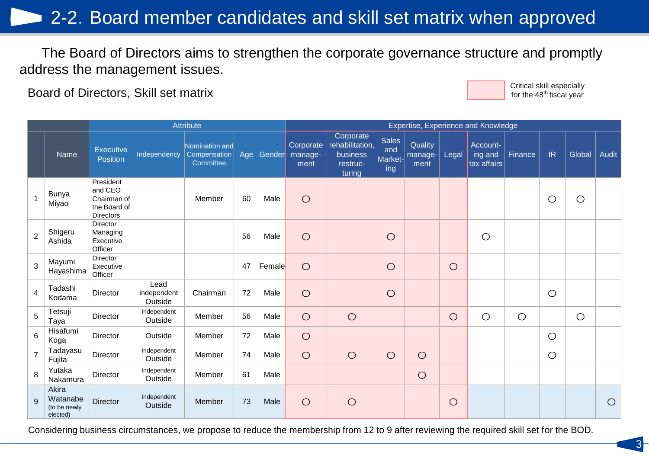## 2-2. Board member candidates and skill set matrix when approved

The Board of Directors aims to strengthen the corporate governance structure and promptly address the management issues.

Board of Directors, Skill set matrix Critical skill especially critical skill especially critical skill especially



3

|                |                                               |                                                                         |                                | Attribute                                   |     |        |                              |                                                                |                                       |                            |            | Expertise, Experience and Knowledge |            |            |            |              |
|----------------|-----------------------------------------------|-------------------------------------------------------------------------|--------------------------------|---------------------------------------------|-----|--------|------------------------------|----------------------------------------------------------------|---------------------------------------|----------------------------|------------|-------------------------------------|------------|------------|------------|--------------|
|                | Name                                          | <b>Executive</b><br><b>Position</b>                                     | Independency                   | Nomination and<br>Compensation<br>Committee | Age | Gender | Corporate<br>manage-<br>ment | Corporate<br>rehabilitation,<br>business<br>restruc-<br>turing | <b>Sales</b><br>and<br>Market-<br>ing | Quality<br>manage-<br>ment | Legal      | Account-<br>ing and<br>tax affairs  | Finance    | IR         | Global     | <b>Audit</b> |
|                | <b>Bunya</b><br>Miyao                         | President<br>and CEO<br>Chairman of<br>the Board of<br><b>Directors</b> |                                | Member                                      | 60  | Male   | $\circ$                      |                                                                |                                       |                            |            |                                     |            | $\bigcirc$ | $\bigcirc$ |              |
| $\overline{2}$ | Shigeru<br>Ashida                             | Director<br>Managing<br>Executive<br>Officer                            |                                |                                             | 56  | Male   | $\bigcirc$                   |                                                                | $\bigcirc$                            |                            |            | $\bigcirc$                          |            |            |            |              |
| 3              | Mayumi<br>Hayashima                           | Director<br>Executive<br>Officer                                        |                                |                                             | 47  | Female | $\bigcirc$                   |                                                                | $\bigcirc$                            |                            | $\bigcirc$ |                                     |            |            |            |              |
| 4              | Tadashi<br>Kodama                             | Director                                                                | Lead<br>independent<br>Outside | Chairman                                    | 72  | Male   | $\bigcirc$                   |                                                                | $\bigcirc$                            |                            |            |                                     |            | $\bigcirc$ |            |              |
| 5              | Tetsuji<br>Taya                               | <b>Director</b>                                                         | Independent<br>Outside         | Member                                      | 56  | Male   | $\bigcirc$                   | $\bigcirc$                                                     |                                       |                            | $\bigcirc$ | $\bigcirc$                          | $\bigcirc$ |            | $\bigcirc$ |              |
| 6              | Hisafumi<br>Koga                              | Director                                                                | Outside                        | Member                                      | 72  | Male   | $\bigcirc$                   |                                                                |                                       |                            |            |                                     |            | $\bigcirc$ |            |              |
| $\overline{7}$ | Tadayasu<br>Fujita                            | Director                                                                | Independent<br>Outside         | Member                                      | 74  | Male   | $\bigcirc$                   | $\bigcirc$                                                     | $\bigcirc$                            | $\bigcirc$                 |            |                                     |            | $\bigcirc$ |            |              |
| 8              | Yutaka<br>Nakamura                            | <b>Director</b>                                                         | Independent<br>Outside         | Member                                      | 61  | Male   |                              |                                                                |                                       | $\bigcirc$                 |            |                                     |            |            |            |              |
| $\mathbf{Q}$   | Akira<br>Watanabe<br>(to be newly<br>elected) | <b>Director</b>                                                         | Independent<br>Outside         | Member                                      | 73  | Male   | $\circ$                      | $\bigcirc$                                                     |                                       |                            | $\bigcirc$ |                                     |            |            |            | $\bigcirc$   |

Considering business circumstances, we propose to reduce the membership from 12 to 9 after reviewing the required skill set for the BOD.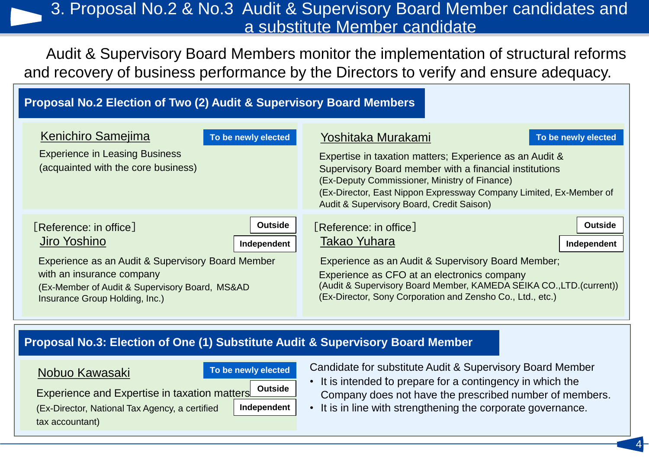### 3. Proposal No.2 & No.3 Audit & Supervisory Board Member candidates and a substitute Member candidate

Audit & Supervisory Board Members monitor the implementation of structural reforms and recovery of business performance by the Directors to verify and ensure adequacy.

### **Proposal No.2 Election of Two (2) Audit & Supervisory Board Members**

| <b>Kenichiro Samejima</b><br>To be newly elected<br><b>Experience in Leasing Business</b><br>(acquainted with the core business) | Yoshitaka Murakami<br>To be newly elected<br>Expertise in taxation matters; Experience as an Audit &<br>Supervisory Board member with a financial institutions<br>(Ex-Deputy Commissioner, Ministry of Finance)<br>(Ex-Director, East Nippon Expressway Company Limited, Ex-Member of<br>Audit & Supervisory Board, Credit Saison) |  |  |
|----------------------------------------------------------------------------------------------------------------------------------|------------------------------------------------------------------------------------------------------------------------------------------------------------------------------------------------------------------------------------------------------------------------------------------------------------------------------------|--|--|
| <b>Outside</b>                                                                                                                   | <b>Outside</b>                                                                                                                                                                                                                                                                                                                     |  |  |
| <b>Reference:</b> in office                                                                                                      | [Reference: in office]                                                                                                                                                                                                                                                                                                             |  |  |
| Jiro Yoshino                                                                                                                     | <b>Takao Yuhara</b>                                                                                                                                                                                                                                                                                                                |  |  |
| Independent                                                                                                                      | Independent                                                                                                                                                                                                                                                                                                                        |  |  |
| Experience as an Audit & Supervisory Board Member                                                                                | Experience as an Audit & Supervisory Board Member;                                                                                                                                                                                                                                                                                 |  |  |
| with an insurance company                                                                                                        | Experience as CFO at an electronics company                                                                                                                                                                                                                                                                                        |  |  |
| (Ex-Member of Audit & Supervisory Board, MS&AD                                                                                   | (Audit & Supervisory Board Member, KAMEDA SEIKA CO., LTD. (current))                                                                                                                                                                                                                                                               |  |  |
| Insurance Group Holding, Inc.)                                                                                                   | (Ex-Director, Sony Corporation and Zensho Co., Ltd., etc.)                                                                                                                                                                                                                                                                         |  |  |

### **Proposal No.3: Election of One (1) Substitute Audit & Supervisory Board Member**

### Nobuo Kawasaki

tax accountant)

### **To be newly elected**

Experience and Expertise in taxation matters (Ex-Director, National Tax Agency, a certified

**Independent**

**Outside**

Candidate for substitute Audit & Supervisory Board Member

- It is intended to prepare for a contingency in which the Company does not have the prescribed number of members.
- It is in line with strengthening the corporate governance.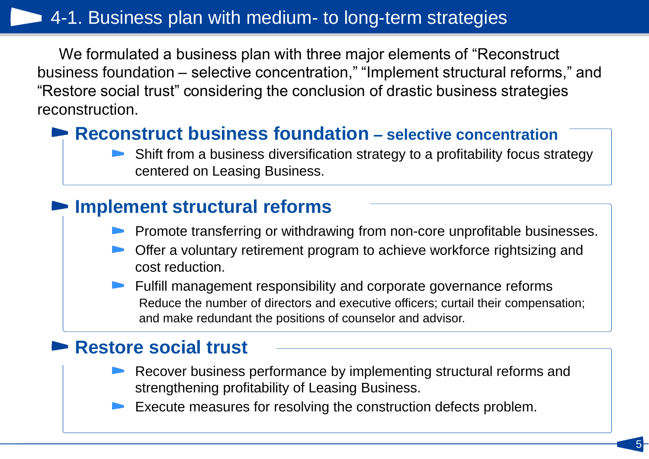## 4-1. Business plan with medium- to long-term strategies

We formulated a business plan with three major elements of "Reconstruct business foundation – selective concentration," "Implement structural reforms," and "Restore social trust" considering the conclusion of drastic business strategies reconstruction.

## **► Reconstruct business foundation** – selective concentration

Shift from a business diversification strategy to a profitability focus strategy centered on Leasing Business.

## **Implement structural reforms**

- Promote transferring or withdrawing from non-core unprofitable businesses.
- Offer a voluntary retirement program to achieve workforce rightsizing and cost reduction.
- **Fulfill management responsibility and corporate governance reforms** Reduce the number of directors and executive officers; curtail their compensation; and make redundant the positions of counselor and advisor.

## **Restore social trust**

Recover business performance by implementing structural reforms and strengthening profitability of Leasing Business.

5

Execute measures for resolving the construction defects problem.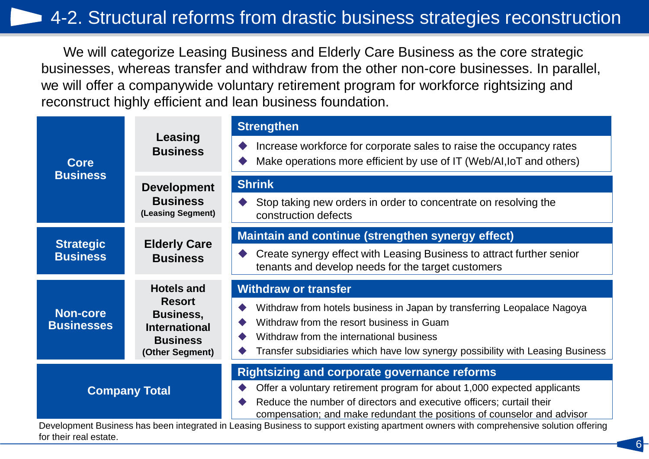We will categorize Leasing Business and Elderly Care Business as the core strategic businesses, whereas transfer and withdraw from the other non-core businesses. In parallel, we will offer a companywide voluntary retirement program for workforce rightsizing and reconstruct highly efficient and lean business foundation.

|                                      |                                                                              | <b>Strengthen</b>                                                                                                                                                                                                                                                                  |
|--------------------------------------|------------------------------------------------------------------------------|------------------------------------------------------------------------------------------------------------------------------------------------------------------------------------------------------------------------------------------------------------------------------------|
| <b>Core</b>                          | Leasing<br><b>Business</b>                                                   | Increase workforce for corporate sales to raise the occupancy rates<br>Make operations more efficient by use of IT (Web/AI, IoT and others)                                                                                                                                        |
| <b>Business</b>                      | <b>Development</b>                                                           | <b>Shrink</b>                                                                                                                                                                                                                                                                      |
|                                      | <b>Business</b><br>(Leasing Segment)                                         | Stop taking new orders in order to concentrate on resolving the<br>construction defects                                                                                                                                                                                            |
|                                      | <b>Elderly Care</b>                                                          | Maintain and continue (strengthen synergy effect)                                                                                                                                                                                                                                  |
| <b>Strategic</b><br><b>Business</b>  | <b>Business</b>                                                              | Create synergy effect with Leasing Business to attract further senior<br>tenants and develop needs for the target customers                                                                                                                                                        |
|                                      |                                                                              |                                                                                                                                                                                                                                                                                    |
|                                      | <b>Hotels and</b>                                                            | <b>Withdraw or transfer</b>                                                                                                                                                                                                                                                        |
| <b>Non-core</b><br><b>Businesses</b> | <b>Resort</b><br><b>Business,</b><br><b>International</b><br><b>Business</b> | Withdraw from hotels business in Japan by transferring Leopalace Nagoya<br>Withdraw from the resort business in Guam<br>Withdraw from the international business<br>Transfer subsidiaries which have low synergy possibility with Leasing Business                                 |
|                                      | (Other Segment)                                                              |                                                                                                                                                                                                                                                                                    |
|                                      | <b>Company Total</b>                                                         | <b>Rightsizing and corporate governance reforms</b><br>Offer a voluntary retirement program for about 1,000 expected applicants<br>Reduce the number of directors and executive officers; curtail their<br>compensation; and make redundant the positions of counselor and advisor |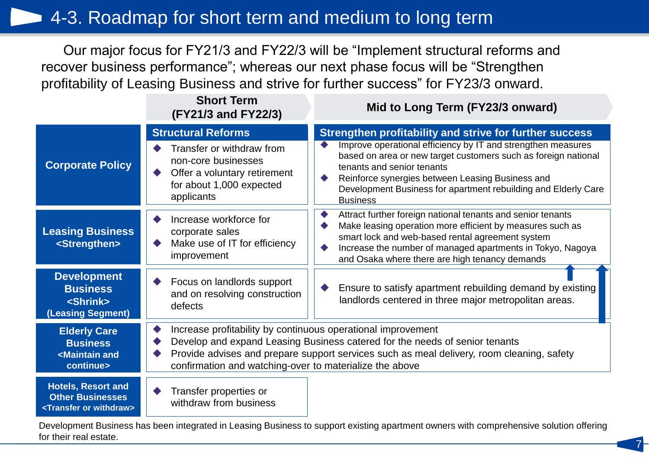## 4-3. Roadmap for short term and medium to long term

Our major focus for FY21/3 and FY22/3 will be "Implement structural reforms and recover business performance"; whereas our next phase focus will be "Strengthen profitability of Leasing Business and strive for further success" for FY23/3 onward.

|                                                                                                 | <b>Short Term</b><br>(FY21/3 and FY22/3)                                                                                                                | Mid to Long Term (FY23/3 onward)                                                                                                                                                                                                                                                                                                                                 |
|-------------------------------------------------------------------------------------------------|---------------------------------------------------------------------------------------------------------------------------------------------------------|------------------------------------------------------------------------------------------------------------------------------------------------------------------------------------------------------------------------------------------------------------------------------------------------------------------------------------------------------------------|
| <b>Corporate Policy</b>                                                                         | <b>Structural Reforms</b><br>Transfer or withdraw from<br>non-core businesses<br>Offer a voluntary retirement<br>for about 1,000 expected<br>applicants | Strengthen profitability and strive for further success<br>Improve operational efficiency by IT and strengthen measures<br>based on area or new target customers such as foreign national<br>tenants and senior tenants<br>Reinforce synergies between Leasing Business and<br>Development Business for apartment rebuilding and Elderly Care<br><b>Business</b> |
| <b>Leasing Business</b><br><strengthen></strengthen>                                            | Increase workforce for<br>corporate sales<br>Make use of IT for efficiency<br>improvement                                                               | Attract further foreign national tenants and senior tenants<br>Make leasing operation more efficient by measures such as<br>smart lock and web-based rental agreement system<br>Increase the number of managed apartments in Tokyo, Nagoya<br>and Osaka where there are high tenancy demands                                                                     |
| <b>Development</b><br><b>Business</b><br><shrink><br/>(Leasing Segment)</shrink>                | Focus on landlords support<br>and on resolving construction<br>defects                                                                                  | Ensure to satisfy apartment rebuilding demand by existing<br>landlords centered in three major metropolitan areas.                                                                                                                                                                                                                                               |
| <b>Elderly Care</b><br><b>Business</b><br><maintain and<br="">continue&gt;</maintain>           | Increase profitability by continuous operational improvement<br>confirmation and watching-over to materialize the above                                 | Develop and expand Leasing Business catered for the needs of senior tenants<br>Provide advises and prepare support services such as meal delivery, room cleaning, safety                                                                                                                                                                                         |
| <b>Hotels, Resort and</b><br><b>Other Businesses</b><br><transfer or="" withdraw=""></transfer> | Transfer properties or<br>withdraw from business                                                                                                        |                                                                                                                                                                                                                                                                                                                                                                  |

Development Business has been integrated in Leasing Business to support existing apartment owners with comprehensive solution offering for their real estate.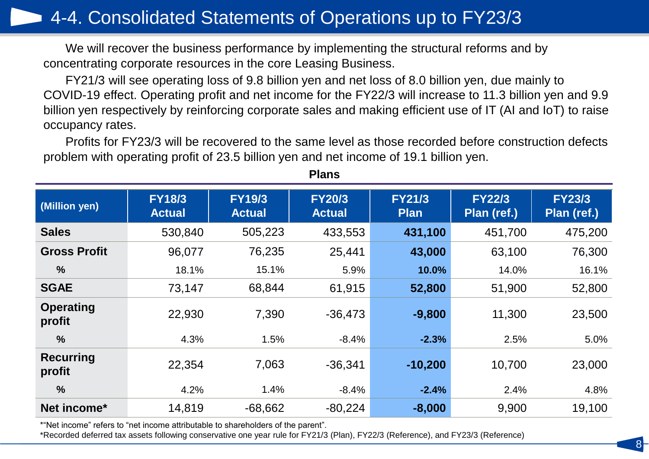## 4-4. Consolidated Statements of Operations up to FY23/3

We will recover the business performance by implementing the structural reforms and by concentrating corporate resources in the core Leasing Business.

FY21/3 will see operating loss of 9.8 billion yen and net loss of 8.0 billion yen, due mainly to COVID-19 effect. Operating profit and net income for the FY22/3 will increase to 11.3 billion yen and 9.9 billion yen respectively by reinforcing corporate sales and making efficient use of IT (AI and IoT) to raise occupancy rates.

Profits for FY23/3 will be recovered to the same level as those recorded before construction defects problem with operating profit of 23.5 billion yen and net income of 19.1 billion yen.

| (Million yen)              | <b>FY18/3</b><br><b>Actual</b> | <b>FY19/3</b><br><b>Actual</b> | <b>FY20/3</b><br><b>Actual</b> | <b>FY21/3</b><br><b>Plan</b> | <b>FY22/3</b><br>Plan (ref.) | <b>FY23/3</b><br>Plan (ref.) |
|----------------------------|--------------------------------|--------------------------------|--------------------------------|------------------------------|------------------------------|------------------------------|
| <b>Sales</b>               | 530,840                        | 505,223                        | 433,553                        | 431,100                      | 451,700                      | 475,200                      |
| <b>Gross Profit</b>        | 96,077                         | 76,235                         | 25,441                         | 43,000                       | 63,100                       | 76,300                       |
| $\frac{0}{0}$              | 18.1%                          | 15.1%                          | 5.9%                           | 10.0%                        | 14.0%                        | 16.1%                        |
| <b>SGAE</b>                | 73,147                         | 68,844                         | 61,915                         | 52,800                       | 51,900                       | 52,800                       |
| <b>Operating</b><br>profit | 22,930                         | 7,390                          | $-36,473$                      | $-9,800$                     | 11,300                       | 23,500                       |
| $\frac{0}{0}$              | 4.3%                           | 1.5%                           | $-8.4%$                        | $-2.3%$                      | 2.5%                         | 5.0%                         |
| <b>Recurring</b><br>profit | 22,354                         | 7,063                          | $-36,341$                      | $-10,200$                    | 10,700                       | 23,000                       |
| $\frac{9}{6}$              | 4.2%                           | 1.4%                           | $-8.4%$                        | $-2.4%$                      | 2.4%                         | 4.8%                         |
| Net income*                | 14,819                         | $-68,662$                      | $-80,224$                      | $-8,000$                     | 9,900                        | 19,100                       |

8

**Plans**

\*"Net income" refers to "net income attributable to shareholders of the parent".

\*Recorded deferred tax assets following conservative one year rule for FY21/3 (Plan), FY22/3 (Reference), and FY23/3 (Reference)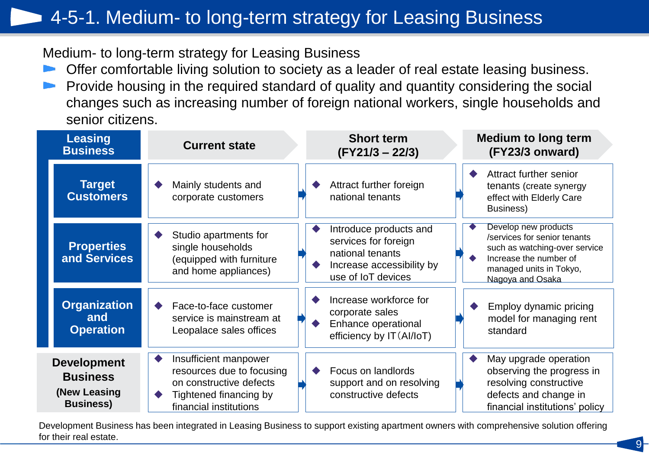## 4-5-1. Medium- to long-term strategy for Leasing Business

Medium- to long-term strategy for Leasing Business

- Offer comfortable living solution to society as a leader of real estate leasing business.
- Provide housing in the required standard of quality and quantity considering the social changes such as increasing number of foreign national workers, single households and senior citizens.

| <b>Leasing</b><br><b>Business</b>                                         | <b>Current state</b>                                                                                                              | <b>Short term</b><br>$(FY21/3 - 22/3)$                                                                                | <b>Medium to long term</b><br>(FY23/3 onward)                                                                                                                  |
|---------------------------------------------------------------------------|-----------------------------------------------------------------------------------------------------------------------------------|-----------------------------------------------------------------------------------------------------------------------|----------------------------------------------------------------------------------------------------------------------------------------------------------------|
| <b>Target</b><br><b>Customers</b>                                         | Mainly students and<br>corporate customers                                                                                        | Attract further foreign<br>national tenants                                                                           | Attract further senior<br>tenants (create synergy<br>effect with Elderly Care<br>Business)                                                                     |
| <b>Properties</b><br>and Services                                         | Studio apartments for<br>single households<br>(equipped with furniture<br>and home appliances)                                    | Introduce products and<br>services for foreign<br>national tenants<br>Increase accessibility by<br>use of IoT devices | Develop new products<br>/services for senior tenants<br>such as watching-over service<br>Increase the number of<br>managed units in Tokyo,<br>Nagoya and Osaka |
| <b>Organization</b><br>and<br><b>Operation</b>                            | Face-to-face customer<br>service is mainstream at<br>Leopalace sales offices                                                      | Increase workforce for<br>corporate sales<br>Enhance operational<br>efficiency by IT (Al/IoT)                         | Employ dynamic pricing<br>model for managing rent<br>standard                                                                                                  |
| <b>Development</b><br><b>Business</b><br>(New Leasing<br><b>Business)</b> | Insufficient manpower<br>resources due to focusing<br>on constructive defects<br>Tightened financing by<br>financial institutions | Focus on landlords<br>support and on resolving<br>constructive defects                                                | May upgrade operation<br>observing the progress in<br>resolving constructive<br>defects and change in<br>financial institutions' policy                        |

Development Business has been integrated in Leasing Business to support existing apartment owners with comprehensive solution offering for their real estate.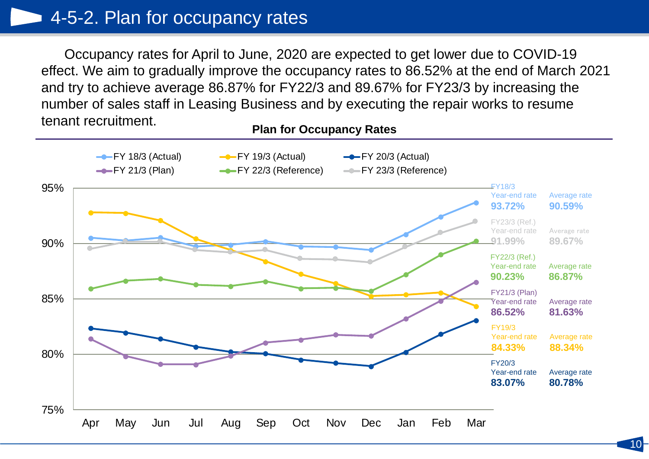**Plan for Occupancy Rates** Occupancy rates for April to June, 2020 are expected to get lower due to COVID-19 effect. We aim to gradually improve the occupancy rates to 86.52% at the end of March 2021 and try to achieve average 86.87% for FY22/3 and 89.67% for FY23/3 by increasing the number of sales staff in Leasing Business and by executing the repair works to resume tenant recruitment.

FY18/3 Year-end rate **93.72%** Average rate **90.59%** FY22/3 (Ref.) Year-end rate **90.23%** Average rate **86.87%** FY21/3 (Plan) Year-end rate **86.52%** Average rate **81.63%** FY20/3 Year-end rate **83.07%** Average rate **80.78%** FY19/3 Year-end rate **84.33%** Average rate **88.34%** FY23/3 (Ref.) Year-end rate **91.99%** Average rate **89.67%** 75% 80% 85% 90% 95% Apr May Jun Jul Aug Sep Oct Nov Dec Jan Feb Mar **FY 18/3 (Actual)** - FY 19/3 (Actual) - FY 20/3 (Actual)  $-FY 21/3$  (Plan)  $-FY 22/3$  (Reference)  $-FY 23/3$  (Reference)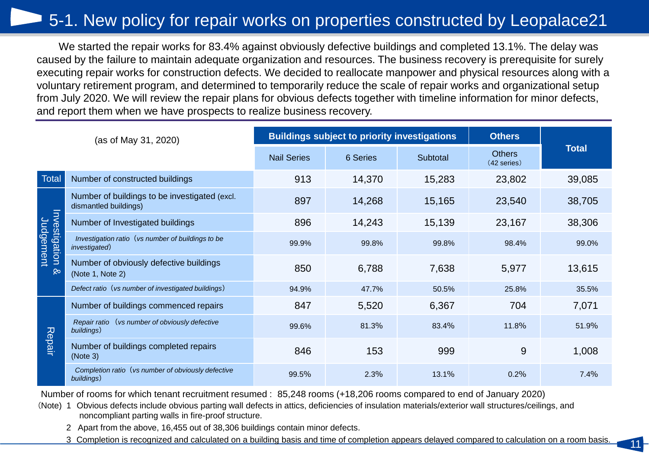## 5-1. New policy for repair works on properties constructed by Leopalace21

We started the repair works for 83.4% against obviously defective buildings and completed 13.1%. The delay was caused by the failure to maintain adequate organization and resources. The business recovery is prerequisite for surely executing repair works for construction defects. We decided to reallocate manpower and physical resources along with a voluntary retirement program, and determined to temporarily reduce the scale of repair works and organizational setup from July 2020. We will review the repair plans for obvious defects together with timeline information for minor defects, and report them when we have prospects to realize business recovery.

|               | (as of May 31, 2020)                                                   |                    | <b>Buildings subject to priority investigations</b> | <b>Others</b> |                                |              |
|---------------|------------------------------------------------------------------------|--------------------|-----------------------------------------------------|---------------|--------------------------------|--------------|
|               |                                                                        | <b>Nail Series</b> | 6 Series                                            | Subtotal      | <b>Others</b><br>$(42$ series) | <b>Total</b> |
| <b>Total</b>  | Number of constructed buildings                                        | 913                | 14,370                                              | 15,283        | 23,802                         | 39,085       |
|               | Number of buildings to be investigated (excl.<br>dismantled buildings) | 897                | 14,268                                              | 15,165        | 23,540                         | 38,705       |
|               | Number of Investigated buildings                                       | 896                | 14,243                                              | 15,139        | 23,167                         | 38,306       |
| Investigation | Investigation ratio (vs number of buildings to be<br>investigated)     | 99.9%              | 99.8%                                               | 99.8%         | 98.4%                          | 99.0%        |
| $\infty$      | Number of obviously defective buildings<br>(Note 1, Note 2)            | 850                | 6,788                                               | 7,638         | 5,977                          | 13,615       |
|               | Defect ratio (vs number of investigated buildings)                     | 94.9%              | 47.7%                                               | 50.5%         | 25.8%                          | 35.5%        |
|               | Number of buildings commenced repairs                                  | 847                | 5,520                                               | 6,367         | 704                            | 7,071        |
|               | Repair ratio (vs number of obviously defective<br>buildings)           | 99.6%              | 81.3%                                               | 83.4%         | 11.8%                          | 51.9%        |
| Repair        | Number of buildings completed repairs<br>(Note 3)                      | 846                | 153                                                 | 999           | 9                              | 1,008        |
|               | Completion ratio (vs number of obviously defective<br>buildings)       | 99.5%              | 2.3%                                                | 13.1%         | 0.2%                           | 7.4%         |

Number of rooms for which tenant recruitment resumed : 85,248 rooms (+18,206 rooms compared to end of January 2020)

- (Note) 1 Obvious defects include obvious parting wall defects in attics, deficiencies of insulation materials/exterior wall structures/ceilings, and noncompliant parting walls in fire-proof structure.
	- 2 Apart from the above, 16,455 out of 38,306 buildings contain minor defects.
	- 3 Completion is recognized and calculated on a building basis and time of completion appears delayed compared to calculation on a room basis.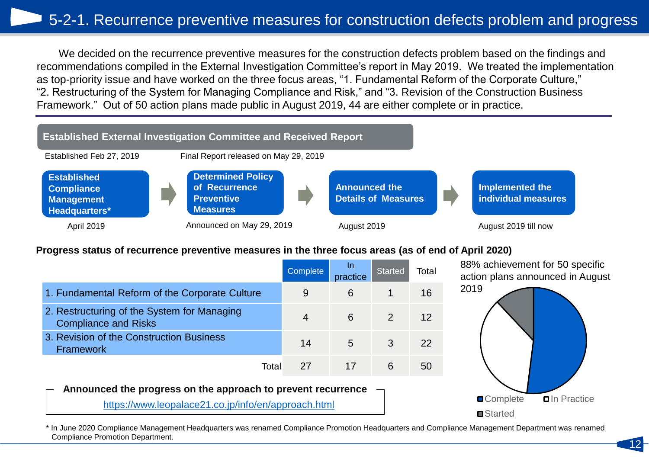we decided on the recurrence preventive measures for the construction defects problem based on the findings and<br>recommendations compiled in the External Investigation Committee's report in May 2019. We treated the impleme We decided on the recurrence preventive measures for the construction defects problem based on the findings and as top-priority issue and have worked on the three focus areas, "1. Fundamental Reform of the Corporate Culture," "2. Restructuring of the System for Managing Compliance and Risk," and "3. Revision of the Construction Business Framework." Out of 50 action plans made public in August 2019, 44 are either complete or in practice.



### **Progress status of recurrence preventive measures in the three focus areas (as of end of April 2020)**

|                                                                            | Complete | In.<br>practice | <b>Started</b> | Total |
|----------------------------------------------------------------------------|----------|-----------------|----------------|-------|
| 1. Fundamental Reform of the Corporate Culture                             | 9        | 6               |                | 16    |
| 2. Restructuring of the System for Managing<br><b>Compliance and Risks</b> |          | 6               |                | 12    |
| 3. Revision of the Construction Business<br><b>Framework</b>               | 14       | 5               | 3              | 22    |
| Total                                                                      | 27       |                 | 6              | 50    |

88% achievement for 50 specific action plans announced in August



### **Announced the progress on the approach to prevent recurrence**

<https://www.leopalace21.co.jp/info/en/approach.html>

\* In June 2020 Compliance Management Headquarters was renamed Compliance Promotion Headquarters and Compliance Management Department was renamed Compliance Promotion Department.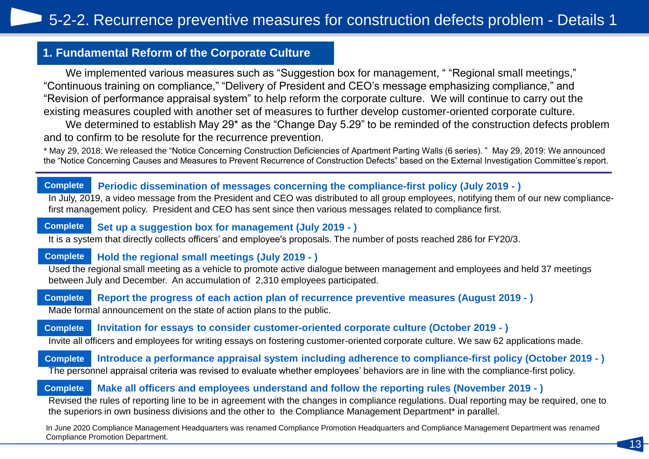### **1. Fundamental Reform of the Corporate Culture**

We implemented various measures such as "Suggestion box for management, " "Regional small meetings," "Continuous training on compliance," "Delivery of President and CEO's message emphasizing compliance," and "Revision of performance appraisal system" to help reform the corporate culture. We will continue to carry out the existing measures coupled with another set of measures to further develop customer-oriented corporate culture.

We determined to establish May 29<sup>\*</sup> as the "Change Day 5.29" to be reminded of the construction defects problem and to confirm to be resolute for the recurrence prevention.

\* May 29, 2018: We released the "Notice Concerning Construction Deficiencies of Apartment Parting Walls (6 series). " May 29, 2019: We announced the "Notice Concerning Causes and Measures to Prevent Recurrence of Construction Defects" based on the External Investigation Committee's report.

#### **Periodic dissemination of messages concerning the compliance-first policy (July 2019 - ) Complete**

In July, 2019, a video message from the President and CEO was distributed to all group employees, notifying them of our new compliancefirst management policy. President and CEO has sent since then various messages related to compliance first.

#### **Set up a suggestion box for management (July 2019 - ) Complete**

It is a system that directly collects officers' and employee's proposals. The number of posts reached 286 for FY20/3.

#### **Hold the regional small meetings (July 2019 - ) Complete**

Used the regional small meeting as a vehicle to promote active dialogue between management and employees and held 37 meetings between July and December. An accumulation of 2,310 employees participated.

**Report the progress of each action plan of recurrence preventive measures (August 2019 - )** Made formal announcement on the state of action plans to the public. **Complete**

**Invitation for essays to consider customer-oriented corporate culture (October 2019 - ) Complete**

Invite all officers and employees for writing essays on fostering customer-oriented corporate culture. We saw 62 applications made.

**Introduce a performance appraisal system including adherence to compliance-first policy (October 2019 - )** The personnel appraisal criteria was revised to evaluate whether employees' behaviors are in line with the compliance-first policy. **Complete**

#### **Make all officers and employees understand and follow the reporting rules (November 2019 - ) Complete**

Revised the rules of reporting line to be in agreement with the changes in compliance regulations. Dual reporting may be required, one to the superiors in own business divisions and the other to the Compliance Management Department\* in parallel.

In June 2020 Compliance Management Headquarters was renamed Compliance Promotion Headquarters and Compliance Management Department was renamed Compliance Promotion Department.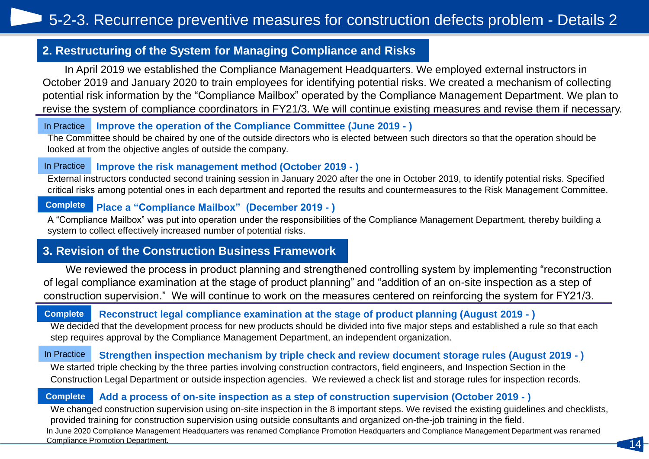### **2. Restructuring of the System for Managing Compliance and Risks**

In April 2019 we established the Compliance Management Headquarters. We employed external instructors in October 2019 and January 2020 to train employees for identifying potential risks. We created a mechanism of collecting potential risk information by the "Compliance Mailbox" operated by the Compliance Management Department. We plan to revise the system of compliance coordinators in FY21/3. We will continue existing measures and revise them if necessary.

**Improve the operation of the Compliance Committee (June 2019 - )** In Practice

The Committee should be chaired by one of the outside directors who is elected between such directors so that the operation should be looked at from the objective angles of outside the company.

#### **Improve the risk management method (October 2019 - )** In Practice

External instructors conducted second training session in January 2020 after the one in October 2019, to identify potential risks. Specified critical risks among potential ones in each department and reported the results and countermeasures to the Risk Management Committee.

#### **Place a "Compliance Mailbox" (December 2019 - ) Complete**

A "Compliance Mailbox" was put into operation under the responsibilities of the Compliance Management Department, thereby building a system to collect effectively increased number of potential risks.

### **3. Revision of the Construction Business Framework**

We reviewed the process in product planning and strengthened controlling system by implementing "reconstruction of legal compliance examination at the stage of product planning" and "addition of an on-site inspection as a step of construction supervision." We will continue to work on the measures centered on reinforcing the system for FY21/3.

#### **Reconstruct legal compliance examination at the stage of product planning (August 2019 - ) Complete**

We decided that the development process for new products should be divided into five major steps and established a rule so that each step requires approval by the Compliance Management Department, an independent organization.

#### **Strengthen inspection mechanism by triple check and review document storage rules (August 2019 - )** In Practice

We started triple checking by the three parties involving construction contractors, field engineers, and Inspection Section in the Construction Legal Department or outside inspection agencies. We reviewed a check list and storage rules for inspection records.

#### **Add a process of on-site inspection as a step of construction supervision (October 2019 - ) Complete**

We changed construction supervision using on-site inspection in the 8 important steps. We revised the existing guidelines and checklists, provided training for construction supervision using outside consultants and organized on-the-job training in the field. In June 2020 Compliance Management Headquarters was renamed Compliance Promotion Headquarters and Compliance Management Department was renamed **Compliance Promotion Department.**